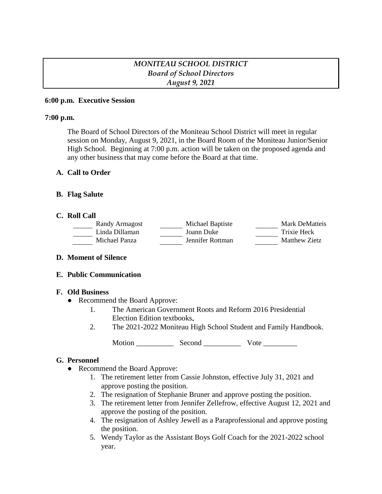# *MONITEAU SCHOOL DISTRICT Board of School Directors August 9, 2021*

### **6:00 p.m. Executive Session**

### **7:00 p.m.**

The Board of School Directors of the Moniteau School District will meet in regular session on Monday, August 9, 2021, in the Board Room of the Moniteau Junior/Senior High School. Beginning at 7:00 p.m. action will be taken on the proposed agenda and any other business that may come before the Board at that time.

### **A. Call to Order**

### **B. Flag Salute**

### **C. Roll Call**

| Randy Armagost | Michael Baptiste | Mark DeMatteis |
|----------------|------------------|----------------|
| Linda Dillaman | Joann Duke       | Trixie Heck    |
| Michael Panza  | Jennifer Rottman | Matthew Zietz  |

### **D. Moment of Silence**

### **E. Public Communication**

### **F. Old Business**

- Recommend the Board Approve:
	- 1. The American Government Roots and Reform 2016 Presidential Election Edition textbooks**.**
	- 2. The 2021-2022 Moniteau High School Student and Family Handbook.

Motion \_\_\_\_\_\_\_\_\_\_ Second \_\_\_\_\_\_\_\_\_\_ Vote \_\_\_\_\_\_\_\_\_

# **G. Personnel**

- Recommend the Board Approve:
	- 1. The retirement letter from Cassie Johnston, effective July 31, 2021 and approve posting the position.
	- 2. The resignation of Stephanie Bruner and approve posting the position.
	- 3. The retirement letter from Jennifer Zellefrow, effective August 12, 2021 and approve the posting of the position.
	- 4. The resignation of Ashley Jewell as a Paraprofessional and approve posting the position.
	- 5. Wendy Taylor as the Assistant Boys Golf Coach for the 2021-2022 school year.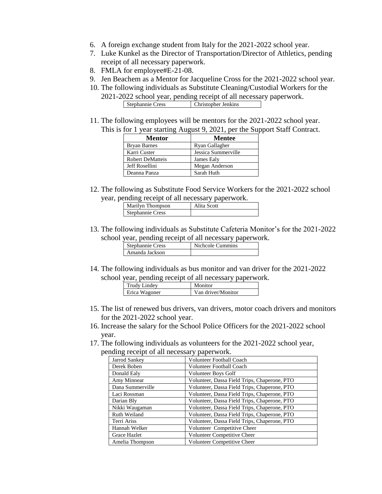- 6. A foreign exchange student from Italy for the 2021-2022 school year.
- 7. Luke Kunkel as the Director of Transportation/Director of Athletics, pending receipt of all necessary paperwork.
- 8. FMLA for employee#E-21-08.
- 9. Jen Beachem as a Mentor for Jacqueline Cross for the 2021-2022 school year.
- 10. The following individuals as Substitute Cleaning/Custodial Workers for the 2021-2022 school year, pending receipt of all necessary paperwork. Stephannie Cress Christopher Jenkins
- 11. The following employees will be mentors for the 2021-2022 school year. This is for 1 year starting August 9, 2021, per the Support Staff Contract.

| Mentor                  | <b>Mentee</b>       |
|-------------------------|---------------------|
| <b>Bryan Barnes</b>     | Ryan Gallagher      |
| Karri Custer            | Jessica Summerville |
| <b>Robert DeMatteis</b> | James Ealy          |
| Jeff Rosellini          | Megan Anderson      |
| Deanna Panza            | Sarah Huth          |

12. The following as Substitute Food Service Workers for the 2021-2022 school year, pending receipt of all necessary paperwork.

| Marilyn Thompson | Alita Scott |
|------------------|-------------|
| Stephannie Cress |             |

13. The following individuals as Substitute Cafeteria Monitor's for the 2021-2022 school year, pending receipt of all necessary paperwork.

| Stephannie Cress | Nichcole Cummins |
|------------------|------------------|
| Amanda Jackson   |                  |

14. The following individuals as bus monitor and van driver for the 2021-2022 school year, pending receipt of all necessary paperwork.

| <b>Trudy Lindey</b> | Monitor            |
|---------------------|--------------------|
| Erica Wagoner       | Van driver/Monitor |

- 15. The list of renewed bus drivers, van drivers, motor coach drivers and monitors for the 2021-2022 school year.
- 16. Increase the salary for the School Police Officers for the 2021-2022 school year.
- 17. The following individuals as volunteers for the 2021-2022 school year, pending receipt of all necessary paperwork.

| Jarrod Sankey    | <b>Volunteer Football Coach</b>              |
|------------------|----------------------------------------------|
| Derek Boben      | Volunteer Football Coach                     |
| Donald Ealy      | Volunteer Boys Golf                          |
| Amy Minnear      | Volunteer, Dassa Field Trips, Chaperone, PTO |
| Dana Summerville | Volunteer, Dassa Field Trips, Chaperone, PTO |
| Laci Rossman     | Volunteer, Dassa Field Trips, Chaperone, PTO |
| Darian Bly       | Volunteer, Dassa Field Trips, Chaperone, PTO |
| Nikki Waugaman   | Volunteer, Dassa Field Trips, Chaperone, PTO |
| Ruth Weiland     | Volunteer, Dassa Field Trips, Chaperone, PTO |
| Terri Ariss      | Volunteer, Dassa Field Trips, Chaperone, PTO |
| Hannah Welker    | Volunteer Competitive Cheer                  |
| Grace Hazlet     | Volunteer Competitive Cheer                  |
| Amelia Thompson  | Volunteer Competitive Cheer                  |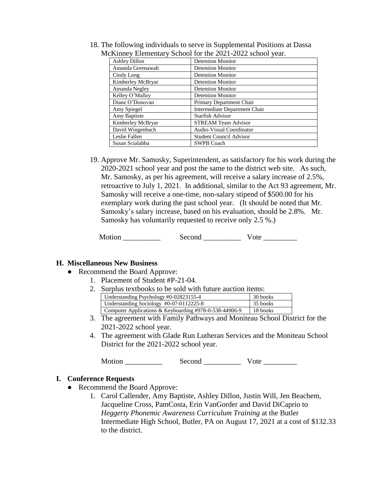| $\frac{1}{2}$ . Extendent , behoof for the $\frac{1}{2}$ sense sensor $\frac{1}{2}$ and |                                |  |
|-----------------------------------------------------------------------------------------|--------------------------------|--|
| <b>Ashley Dillon</b>                                                                    | <b>Detention Monitor</b>       |  |
| Amanda Greenawalt                                                                       | <b>Detention Monitor</b>       |  |
| Cindy Long                                                                              | <b>Detention Monitor</b>       |  |
| Kimberley McBryar                                                                       | <b>Detention Monitor</b>       |  |
| Amanda Negley                                                                           | <b>Detention Monitor</b>       |  |
| Kelley O'Malley                                                                         | <b>Detention Monitor</b>       |  |
| Diane O'Donovan                                                                         | Primary Department Chair       |  |
| Amy Spiegel                                                                             | Intermediate Department Chair  |  |
| Amy Baptiste                                                                            | Starfish Advisor               |  |
| Kimberley McBryar                                                                       | <b>STREAM Team Advisor</b>     |  |
| David Wingenbach                                                                        | Audio-Visual Coordinator       |  |
| Leslie Fallen                                                                           | <b>Student Council Advisor</b> |  |
| Susan Scialabba                                                                         | <b>SWPB Coach</b>              |  |

18. The following individuals to serve in Supplemental Positions at Dassa McKinney Elementary School for the 2021-2022 school year.

19. Approve Mr. Samosky, Superintendent, as satisfactory for his work during the 2020-2021 school year and post the same to the district web site. As such, Mr. Samosky, as per his agreement, will receive a salary increase of 2.5%, retroactive to July 1, 2021. In additional, similar to the Act 93 agreement, Mr. Samosky will receive a one-time, non-salary stipend of \$500.00 for his exemplary work during the past school year. (It should be noted that Mr. Samosky's salary increase, based on his evaluation, should be 2.8%. Mr. Samosky has voluntarily requested to receive only 2.5 %.)

Motion Second Vote

### **H. Miscellaneous New Business**

- Recommend the Board Approve:
	- 1. Placement of Student #P-21-04.
	- 2. Surplus textbooks to be sold with future auction items:

| Understanding Psychology #0-02823155-4                 | 30 books |
|--------------------------------------------------------|----------|
| Understanding Sociology #0-07-0112225-8                | 35 books |
| Computer Applications & Keyboarding #978-0-538-44906-9 | 18 books |

- 3. The agreement with Family Pathways and Moniteau School District for the 2021-2022 school year.
- 4. The agreement with Glade Run Lutheran Services and the Moniteau School District for the 2021-2022 school year.

Motion \_\_\_\_\_\_\_\_\_\_ Second \_\_\_\_\_\_\_\_\_\_ Vote \_\_\_\_\_\_\_\_\_

#### **I. Conference Requests**

- Recommend the Board Approve:
	- 1. Carol Callender, Amy Baptiste, Ashley Dillon, Justin Will, Jen Beachem, Jacqueline Cross, PamCosta, Erin VanGorder and David DiCaprio to *Heggerty Phonemic Awareness Curriculum Training* at the Butler Intermediate High School, Butler, PA on August 17, 2021 at a cost of \$132.33 to the district.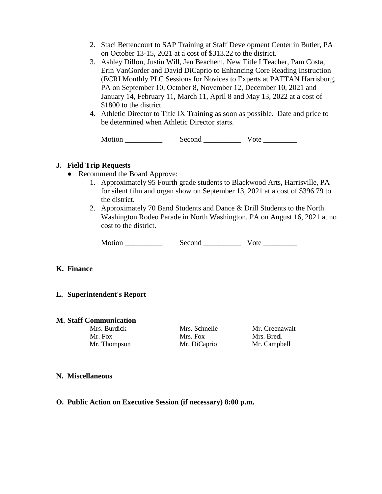- 2. Staci Bettencourt to SAP Training at Staff Development Center in Butler, PA on October 13-15, 2021 at a cost of \$313.22 to the district.
- 3. Ashley Dillon, Justin Will, Jen Beachem, New Title I Teacher, Pam Costa, Erin VanGorder and David DiCaprio to Enhancing Core Reading Instruction (ECRI Monthly PLC Sessions for Novices to Experts at PATTAN Harrisburg, PA on September 10, October 8, November 12, December 10, 2021 and January 14, February 11, March 11, April 8 and May 13, 2022 at a cost of \$1800 to the district.
- 4. Athletic Director to Title IX Training as soon as possible. Date and price to be determined when Athletic Director starts.

Motion \_\_\_\_\_\_\_\_\_\_ Second \_\_\_\_\_\_\_\_\_\_ Vote \_\_\_\_\_\_\_\_\_

# **J. Field Trip Requests**

- Recommend the Board Approve:
	- 1. Approximately 95 Fourth grade students to Blackwood Arts, Harrisville, PA for silent film and organ show on September 13, 2021 at a cost of \$396.79 to the district.
	- 2. Approximately 70 Band Students and Dance & Drill Students to the North Washington Rodeo Parade in North Washington, PA on August 16, 2021 at no cost to the district.

Motion \_\_\_\_\_\_\_\_\_\_ Second \_\_\_\_\_\_\_\_\_\_ Vote \_\_\_\_\_\_\_\_\_

# **K. Finance**

# **L. Superintendent's Report**

### **M. Staff Communication**

Mr. Fox Mrs. Fox Mrs. Bredl Mr. Thompson Mr. DiCaprio Mr. Campbell

Mrs. Burdick Mrs. Schnelle Mr. Greenawalt

### **N. Miscellaneous**

**O. Public Action on Executive Session (if necessary) 8:00 p.m.**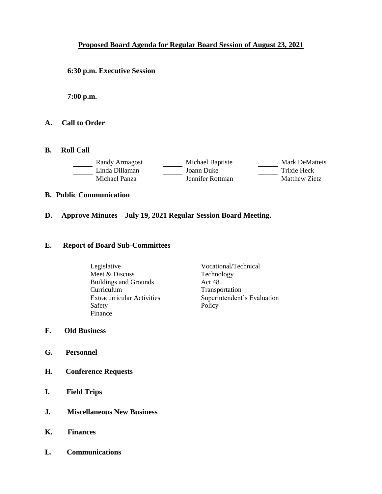# **Proposed Board Agenda for Regular Board Session of August 23, 2021**

**6:30 p.m. Executive Session**

**7:00 p.m.**

- **A. Call to Order**
- **B. Roll Call**

| Randy Armagost | Michael Baptiste | Mark DeMatteis |
|----------------|------------------|----------------|
| Linda Dillaman | Joann Duke       | Trixie Heck    |
| Michael Panza  | Jennifer Rottman | Matthew Zietz  |

- **B. Public Communication**
- **D. Approve Minutes – July 19, 2021 Regular Session Board Meeting.**

#### **E. Report of Board Sub-Committees**

- Legislative Vocational/Technical Meet & Discuss Technology Buildings and Grounds Act 48 Curriculum Transportation Safety Finance
- Extracurricular Activities Superintendent's Evaluation<br>Safety Policy
- **F. Old Business**
- **G. Personnel**
- **H. Conference Requests**
- **I. Field Trips**
- **J. Miscellaneous New Business**
- **K. Finances**
- **L. Communications**